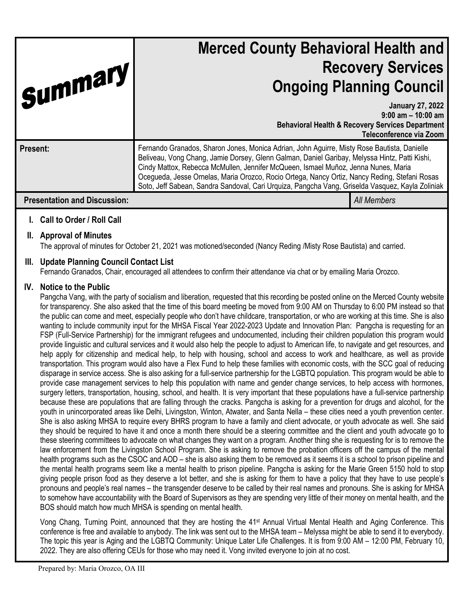| Summary,                            | <b>Merced County Behavioral Health and</b><br><b>Recovery Services</b><br><b>Ongoing Planning Council</b>                                                                                                                                                                                                                                                                                                                                                                               |                                                                                                                                            |
|-------------------------------------|-----------------------------------------------------------------------------------------------------------------------------------------------------------------------------------------------------------------------------------------------------------------------------------------------------------------------------------------------------------------------------------------------------------------------------------------------------------------------------------------|--------------------------------------------------------------------------------------------------------------------------------------------|
|                                     |                                                                                                                                                                                                                                                                                                                                                                                                                                                                                         | <b>January 27, 2022</b><br>$9:00$ am $-10:00$ am<br><b>Behavioral Health &amp; Recovery Services Department</b><br>Teleconference via Zoom |
| Present:                            | Fernando Granados, Sharon Jones, Monica Adrian, John Aguirre, Misty Rose Bautista, Danielle<br>Beliveau, Vong Chang, Jamie Dorsey, Glenn Galman, Daniel Garibay, Melyssa Hintz, Patti Kishi,<br>Cindy Mattox, Rebecca McMullen, Jennifer McQueen, Ismael Muñoz, Jenna Nunes, Maria<br>Ocegueda, Jesse Ornelas, Maria Orozco, Rocio Ortega, Nancy Ortiz, Nancy Reding, Stefani Rosas<br>Soto, Jeff Sabean, Sandra Sandoval, Cari Urquiza, Pangcha Vang, Griselda Vasquez, Kayla Zoliniak |                                                                                                                                            |
| <b>Presentation and Discussion:</b> |                                                                                                                                                                                                                                                                                                                                                                                                                                                                                         | <b>All Members</b>                                                                                                                         |

# **I. Call to Order / Roll Call**

# **II. Approval of Minutes**

The approval of minutes for October 21, 2021 was motioned/seconded (Nancy Reding /Misty Rose Bautista) and carried.

# **III. Update Planning Council Contact List**

Fernando Granados, Chair, encouraged all attendees to confirm their attendance via chat or by emailing Maria Orozco.

# **IV. Notice to the Public**

Pangcha Vang, with the party of socialism and liberation, requested that this recording be posted online on the Merced County website for transparency. She also asked that the time of this board meeting be moved from 9:00 AM on Thursday to 6:00 PM instead so that the public can come and meet, especially people who don't have childcare, transportation, or who are working at this time. She is also wanting to include community input for the MHSA Fiscal Year 2022-2023 Update and Innovation Plan: Pangcha is requesting for an FSP (Full-Service Partnership) for the immigrant refugees and undocumented, including their children population this program would provide linguistic and cultural services and it would also help the people to adjust to American life, to navigate and get resources, and help apply for citizenship and medical help, to help with housing, school and access to work and healthcare, as well as provide transportation. This program would also have a Flex Fund to help these families with economic costs, with the SCC goal of reducing disparage in service access. She is also asking for a full-service partnership for the LGBTQ population. This program would be able to provide case management services to help this population with name and gender change services, to help access with hormones, surgery letters, transportation, housing, school, and health. It is very important that these populations have a full-service partnership because these are populations that are falling through the cracks. Pangcha is asking for a prevention for drugs and alcohol, for the youth in unincorporated areas like Delhi, Livingston, Winton, Atwater, and Santa Nella – these cities need a youth prevention center. She is also asking MHSA to require every BHRS program to have a family and client advocate, or youth advocate as well. She said they should be required to have it and once a month there should be a steering committee and the client and youth advocate go to these steering committees to advocate on what changes they want on a program. Another thing she is requesting for is to remove the law enforcement from the Livingston School Program. She is asking to remove the probation officers off the campus of the mental health programs such as the CSOC and AOD – she is also asking them to be removed as it seems it is a school to prison pipeline and the mental health programs seem like a mental health to prison pipeline. Pangcha is asking for the Marie Green 5150 hold to stop giving people prison food as they deserve a lot better, and she is asking for them to have a policy that they have to use people's pronouns and people's real names – the transgender deserve to be called by their real names and pronouns. She is asking for MHSA to somehow have accountability with the Board of Supervisors as they are spending very little of their money on mental health, and the BOS should match how much MHSA is spending on mental health.

Vong Chang, Turning Point, announced that they are hosting the 41st Annual Virtual Mental Health and Aging Conference. This conference is free and available to anybody. The link was sent out to the MHSA team – Melyssa might be able to send it to everybody. The topic this year is Aging and the LGBTQ Community: Unique Later Life Challenges. It is from 9:00 AM – 12:00 PM, February 10, 2022. They are also offering CEUs for those who may need it. Vong invited everyone to join at no cost.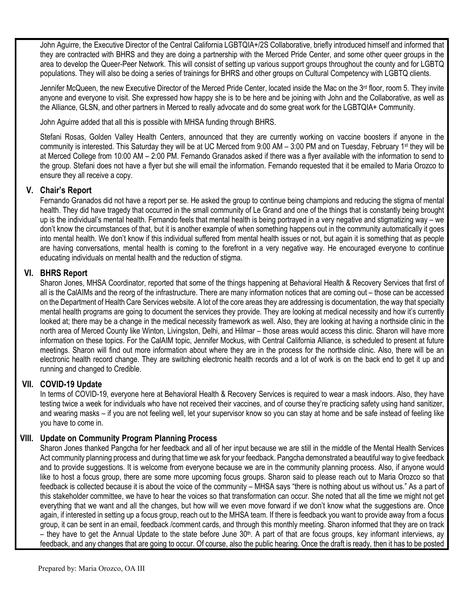John Aguirre, the Executive Director of the Central California LGBTQIA+/2S Collaborative, briefly introduced himself and informed that they are contracted with BHRS and they are doing a partnership with the Merced Pride Center, and some other queer groups in the area to develop the Queer-Peer Network. This will consist of setting up various support groups throughout the county and for LGBTQ populations. They will also be doing a series of trainings for BHRS and other groups on Cultural Competency with LGBTQ clients.

Jennifer McQueen, the new Executive Director of the Merced Pride Center, located inside the Mac on the 3<sup>rd</sup> floor, room 5. They invite anyone and everyone to visit. She expressed how happy she is to be here and be joining with John and the Collaborative, as well as the Alliance, GLSN, and other partners in Merced to really advocate and do some great work for the LGBTQIA+ Community.

John Aguirre added that all this is possible with MHSA funding through BHRS.

Stefani Rosas, Golden Valley Health Centers, announced that they are currently working on vaccine boosters if anyone in the community is interested. This Saturday they will be at UC Merced from 9:00 AM – 3:00 PM and on Tuesday, February 1st they will be at Merced College from 10:00 AM – 2:00 PM. Fernando Granados asked if there was a flyer available with the information to send to the group. Stefani does not have a flyer but she will email the information. Fernando requested that it be emailed to Maria Orozco to ensure they all receive a copy.

## **V. Chair's Report**

Fernando Granados did not have a report per se. He asked the group to continue being champions and reducing the stigma of mental health. They did have tragedy that occurred in the small community of Le Grand and one of the things that is constantly being brought up is the individual's mental health. Fernando feels that mental health is being portrayed in a very negative and stigmatizing way – we don't know the circumstances of that, but it is another example of when something happens out in the community automatically it goes into mental health. We don't know if this individual suffered from mental health issues or not, but again it is something that as people are having conversations, mental health is coming to the forefront in a very negative way. He encouraged everyone to continue educating individuals on mental health and the reduction of stigma.

## **VI. BHRS Report**

Sharon Jones, MHSA Coordinator, reported that some of the things happening at Behavioral Health & Recovery Services that first of all is the CalAIMs and the reorg of the infrastructure. There are many information notices that are coming out – those can be accessed on the Department of Health Care Services website. A lot of the core areas they are addressing is documentation, the way that specialty mental health programs are going to document the services they provide. They are looking at medical necessity and how it's currently looked at; there may be a change in the medical necessity framework as well. Also, they are looking at having a northside clinic in the north area of Merced County like Winton, Livingston, Delhi, and Hilmar – those areas would access this clinic. Sharon will have more information on these topics. For the CalAIM topic, Jennifer Mockus, with Central California Alliance, is scheduled to present at future meetings. Sharon will find out more information about where they are in the process for the northside clinic. Also, there will be an electronic health record change. They are switching electronic health records and a lot of work is on the back end to get it up and running and changed to Credible.

# **VII. COVID-19 Update**

In terms of COVID-19, everyone here at Behavioral Health & Recovery Services is required to wear a mask indoors. Also, they have testing twice a week for individuals who have not received their vaccines, and of course they're practicing safety using hand sanitizer, and wearing masks – if you are not feeling well, let your supervisor know so you can stay at home and be safe instead of feeling like you have to come in.

### **VIII. Update on Community Program Planning Process**

Sharon Jones thanked Pangcha for her feedback and all of her input because we are still in the middle of the Mental Health Services Act community planning process and during that time we ask for your feedback. Pangcha demonstrated a beautiful way to give feedback and to provide suggestions. It is welcome from everyone because we are in the community planning process. Also, if anyone would like to host a focus group, there are some more upcoming focus groups. Sharon said to please reach out to Maria Orozco so that feedback is collected because it is about the voice of the community – MHSA says "there is nothing about us without us." As a part of this stakeholder committee, we have to hear the voices so that transformation can occur. She noted that all the time we might not get everything that we want and all the changes, but how will we even move forward if we don't know what the suggestions are. Once again, if interested in setting up a focus group, reach out to the MHSA team. If there is feedback you want to provide away from a focus group, it can be sent in an email, feedback /comment cards, and through this monthly meeting. Sharon informed that they are on track – they have to get the Annual Update to the state before June  $30<sup>th</sup>$ . A part of that are focus groups, key informant interviews, ay feedback, and any changes that are going to occur. Of course, also the public hearing. Once the draft is ready, then it has to be posted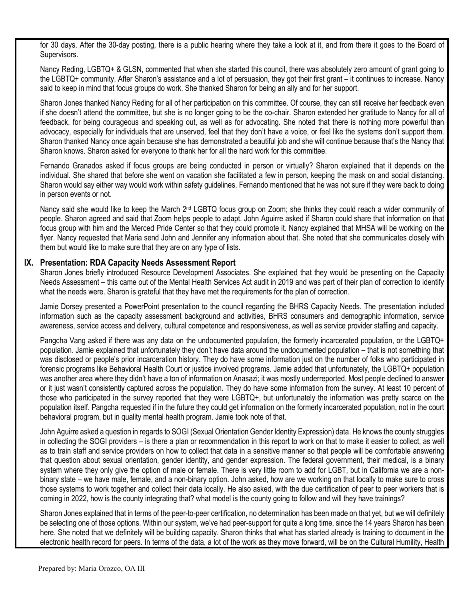for 30 days. After the 30-day posting, there is a public hearing where they take a look at it, and from there it goes to the Board of Supervisors.

Nancy Reding, LGBTQ+ & GLSN, commented that when she started this council, there was absolutely zero amount of grant going to the LGBTQ+ community. After Sharon's assistance and a lot of persuasion, they got their first grant – it continues to increase. Nancy said to keep in mind that focus groups do work. She thanked Sharon for being an ally and for her support.

Sharon Jones thanked Nancy Reding for all of her participation on this committee. Of course, they can still receive her feedback even if she doesn't attend the committee, but she is no longer going to be the co-chair. Sharon extended her gratitude to Nancy for all of feedback, for being courageous and speaking out, as well as for advocating. She noted that there is nothing more powerful than advocacy, especially for individuals that are unserved, feel that they don't have a voice, or feel like the systems don't support them. Sharon thanked Nancy once again because she has demonstrated a beautiful job and she will continue because that's the Nancy that Sharon knows. Sharon asked for everyone to thank her for all the hard work for this committee.

Fernando Granados asked if focus groups are being conducted in person or virtually? Sharon explained that it depends on the individual. She shared that before she went on vacation she facilitated a few in person, keeping the mask on and social distancing. Sharon would say either way would work within safety guidelines. Fernando mentioned that he was not sure if they were back to doing in person events or not.

Nancy said she would like to keep the March  $2^{nd}$  LGBTQ focus group on Zoom; she thinks they could reach a wider community of people. Sharon agreed and said that Zoom helps people to adapt. John Aguirre asked if Sharon could share that information on that focus group with him and the Merced Pride Center so that they could promote it. Nancy explained that MHSA will be working on the flyer. Nancy requested that Maria send John and Jennifer any information about that. She noted that she communicates closely with them but would like to make sure that they are on any type of lists.

#### **IX. Presentation: RDA Capacity Needs Assessment Report**

Sharon Jones briefly introduced Resource Development Associates. She explained that they would be presenting on the Capacity Needs Assessment – this came out of the Mental Health Services Act audit in 2019 and was part of their plan of correction to identify what the needs were. Sharon is grateful that they have met the requirements for the plan of correction.

Jamie Dorsey presented a PowerPoint presentation to the council regarding the BHRS Capacity Needs. The presentation included information such as the capacity assessment background and activities, BHRS consumers and demographic information, service awareness, service access and delivery, cultural competence and responsiveness, as well as service provider staffing and capacity.

Pangcha Vang asked if there was any data on the undocumented population, the formerly incarcerated population, or the LGBTQ+ population. Jamie explained that unfortunately they don't have data around the undocumented population – that is not something that was disclosed or people's prior incarceration history. They do have some information just on the number of folks who participated in forensic programs like Behavioral Health Court or justice involved programs. Jamie added that unfortunately, the LGBTQ+ population was another area where they didn't have a ton of information on Anasazi; it was mostly underreported. Most people declined to answer or it just wasn't consistently captured across the population. They do have some information from the survey. At least 10 percent of those who participated in the survey reported that they were LGBTQ+, but unfortunately the information was pretty scarce on the population itself. Pangcha requested if in the future they could get information on the formerly incarcerated population, not in the court behavioral program, but in quality mental health program. Jamie took note of that.

John Aguirre asked a question in regards to SOGI (Sexual Orientation Gender Identity Expression) data. He knows the county struggles in collecting the SOGI providers – is there a plan or recommendation in this report to work on that to make it easier to collect, as well as to train staff and service providers on how to collect that data in a sensitive manner so that people will be comfortable answering that question about sexual orientation, gender identity, and gender expression. The federal government, their medical, is a binary system where they only give the option of male or female. There is very little room to add for LGBT, but in California we are a nonbinary state – we have male, female, and a non-binary option. John asked, how are we working on that locally to make sure to cross those systems to work together and collect their data locally. He also asked, with the due certification of peer to peer workers that is coming in 2022, how is the county integrating that? what model is the county going to follow and will they have trainings?

Sharon Jones explained that in terms of the peer-to-peer certification, no determination has been made on that yet, but we will definitely be selecting one of those options. Within our system, we've had peer-support for quite a long time, since the 14 years Sharon has been here. She noted that we definitely will be building capacity. Sharon thinks that what has started already is training to document in the electronic health record for peers. In terms of the data, a lot of the work as they move forward, will be on the Cultural Humility, Health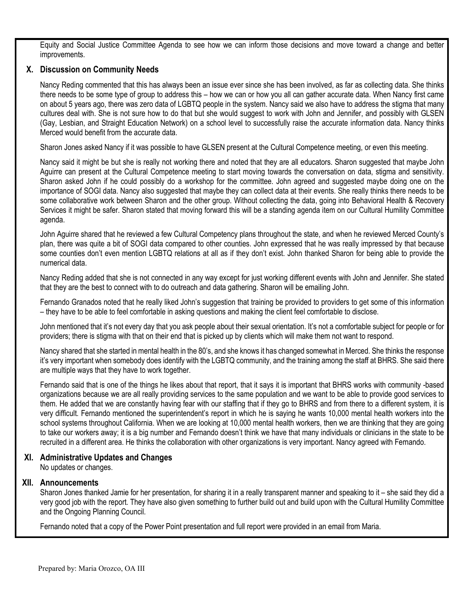Equity and Social Justice Committee Agenda to see how we can inform those decisions and move toward a change and better improvements.

# **X. Discussion on Community Needs**

Nancy Reding commented that this has always been an issue ever since she has been involved, as far as collecting data. She thinks there needs to be some type of group to address this – how we can or how you all can gather accurate data. When Nancy first came on about 5 years ago, there was zero data of LGBTQ people in the system. Nancy said we also have to address the stigma that many cultures deal with. She is not sure how to do that but she would suggest to work with John and Jennifer, and possibly with GLSEN (Gay, Lesbian, and Straight Education Network) on a school level to successfully raise the accurate information data. Nancy thinks Merced would benefit from the accurate data.

Sharon Jones asked Nancy if it was possible to have GLSEN present at the Cultural Competence meeting, or even this meeting.

Nancy said it might be but she is really not working there and noted that they are all educators. Sharon suggested that maybe John Aguirre can present at the Cultural Competence meeting to start moving towards the conversation on data, stigma and sensitivity. Sharon asked John if he could possibly do a workshop for the committee. John agreed and suggested maybe doing one on the importance of SOGI data. Nancy also suggested that maybe they can collect data at their events. She really thinks there needs to be some collaborative work between Sharon and the other group. Without collecting the data, going into Behavioral Health & Recovery Services it might be safer. Sharon stated that moving forward this will be a standing agenda item on our Cultural Humility Committee agenda.

John Aguirre shared that he reviewed a few Cultural Competency plans throughout the state, and when he reviewed Merced County's plan, there was quite a bit of SOGI data compared to other counties. John expressed that he was really impressed by that because some counties don't even mention LGBTQ relations at all as if they don't exist. John thanked Sharon for being able to provide the numerical data.

Nancy Reding added that she is not connected in any way except for just working different events with John and Jennifer. She stated that they are the best to connect with to do outreach and data gathering. Sharon will be emailing John.

Fernando Granados noted that he really liked John's suggestion that training be provided to providers to get some of this information – they have to be able to feel comfortable in asking questions and making the client feel comfortable to disclose.

John mentioned that it's not every day that you ask people about their sexual orientation. It's not a comfortable subject for people or for providers; there is stigma with that on their end that is picked up by clients which will make them not want to respond.

Nancy shared that she started in mental health in the 80's, and she knows it has changed somewhat in Merced. She thinks the response it's very important when somebody does identify with the LGBTQ community, and the training among the staff at BHRS. She said there are multiple ways that they have to work together.

Fernando said that is one of the things he likes about that report, that it says it is important that BHRS works with community -based organizations because we are all really providing services to the same population and we want to be able to provide good services to them. He added that we are constantly having fear with our staffing that if they go to BHRS and from there to a different system, it is very difficult. Fernando mentioned the superintendent's report in which he is saying he wants 10,000 mental health workers into the school systems throughout California. When we are looking at 10,000 mental health workers, then we are thinking that they are going to take our workers away; it is a big number and Fernando doesn't think we have that many individuals or clinicians in the state to be recruited in a different area. He thinks the collaboration with other organizations is very important. Nancy agreed with Fernando.

### **XI. Administrative Updates and Changes**

No updates or changes.

### **XII. Announcements**

Sharon Jones thanked Jamie for her presentation, for sharing it in a really transparent manner and speaking to it – she said they did a very good job with the report. They have also given something to further build out and build upon with the Cultural Humility Committee and the Ongoing Planning Council.

Fernando noted that a copy of the Power Point presentation and full report were provided in an email from Maria.